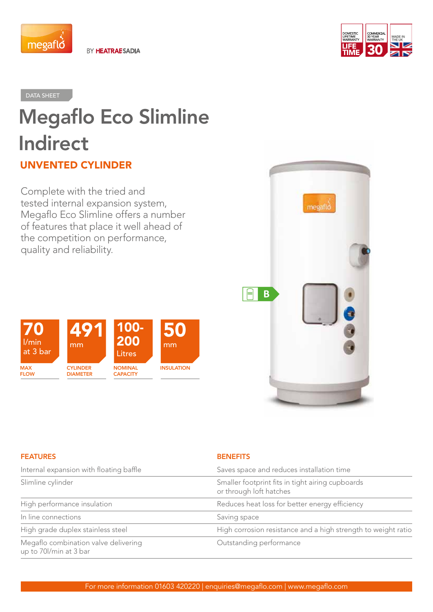

BY HEATRAESADIA



## DATA SHEET

# Megaflo Eco Slimline Indirect UNVENTED CYLINDER

Complete with the tried and tested internal expansion system, Megaflo Eco Slimline offers a number of features that place it well ahead of the competition on performance, quality and reliability.





| <b>FEATURES</b>                                                | <b>BENEFITS</b>                                                             |
|----------------------------------------------------------------|-----------------------------------------------------------------------------|
| Internal expansion with floating baffle                        | Saves space and reduces installation time                                   |
| Slimline cylinder                                              | Smaller footprint fits in tight airing cupboards<br>or through loft hatches |
| High performance insulation                                    | Reduces heat loss for better energy efficiency                              |
| In line connections                                            | Saving space                                                                |
| High grade duplex stainless steel                              | High corrosion resistance and a high strength to weight ratio               |
| Megaflo combination valve delivering<br>up to 70l/min at 3 bar | Outstanding performance                                                     |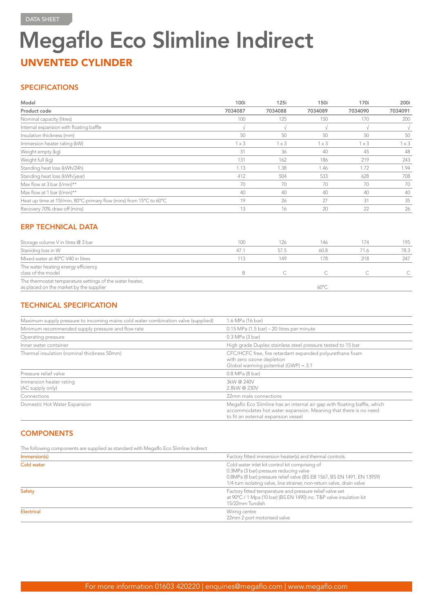# Megaflo Eco Slimline Indirect UNVENTED CYLINDER

## **SPECIFICATIONS**

| Model                                                              | 100i         | 125i         | 150i         | 170i         | 200i         |
|--------------------------------------------------------------------|--------------|--------------|--------------|--------------|--------------|
| Product code                                                       | 7034087      | 7034088      | 7034089      | 7034090      | 7034091      |
| Nominal capacity (litres)                                          | 100          | 125          | 150          | 170          | 200          |
| Internal expansion with floating baffle                            |              |              |              |              |              |
| Insulation thickness (mm)                                          | 50           | 50           | 50           | 50           | 50           |
| Immersion heater rating (kW)                                       | $1 \times 3$ | $1 \times 3$ | $1 \times 3$ | $1 \times 3$ | $1 \times 3$ |
| Weight empty (kg)                                                  | 31           | 36           | 40           | 45           | 48           |
| Weight full (kg)                                                   | 131          | 162          | 186          | 219          | 243          |
| Standing heat loss (kWh/24h)                                       | 1.13         | 1.38         | 1.46         | 1.72         | 1.94         |
| Standing heat loss (kWh/year)                                      | 412          | 504          | 533          | 628          | 708          |
| Max flow at 3 bar (I/min)**                                        | 70           | 70           | 70           | 70           | 70           |
| Max flow at 1 bar (I/min)**                                        | 40           | 40           | 40           | 40           | 40           |
| Heat up time at 15/min, 80°C primary flow (mins) from 15°C to 60°C | 19           | 26           | 27           | 31           | 35           |
| Recovery 70% draw off (mins)                                       | 13           | 16           | 20           | 22           | 26           |

## ERP TECHNICAL DATA

| Storage volume V in litres @ 3 bar                                                                  | 100  | 126  | 146            | 174  | 195  |
|-----------------------------------------------------------------------------------------------------|------|------|----------------|------|------|
| Stanidng loss in W                                                                                  | 47.1 | 57.5 | 60.8           | 71.6 | 78.3 |
| Mixed water at 40°C V40 in litres                                                                   | 113  | 149  | 178            | 218  | 247  |
| The water heating energy efficiency<br>class of the model                                           |      |      |                |      |      |
| The thermostat temperature settings of the water heater,<br>as placed on the market by the supplier |      |      | $60^{\circ}$ C |      |      |

# TECHNICAL SPECIFICATION

| Maximum supply pressure to incoming mains cold water combination valve (supplied) | 1.6 MPa (16 bar)                                                                                                                                                                   |
|-----------------------------------------------------------------------------------|------------------------------------------------------------------------------------------------------------------------------------------------------------------------------------|
| Minimum recommended supply pressure and flow rate                                 | $0.15$ MPa (1.5 bar) – 20 litres per minute                                                                                                                                        |
| Operating pressure                                                                | 0.3 MPa (3 bar)                                                                                                                                                                    |
| Inner water container                                                             | High grade Duplex stainless steel pressure tested to 15 bar                                                                                                                        |
| Thermal insulation (nominal thickness 50mm)                                       | CFC/HCFC free, fire retardant expanded polyurethane foam<br>with zero ozone depletion<br>Global warming potential (GWP) = 3.1                                                      |
| Pressure relief valve                                                             | 0.8 MPa (8 bar)                                                                                                                                                                    |
| Immersion heater rating<br>(AC supply only)                                       | 3kW@240V<br>2.8kW@230V                                                                                                                                                             |
| Connections                                                                       | 22mm male connections                                                                                                                                                              |
| Domestic Hot Water Expansion                                                      | Megaflo Eco Slimline has an internal air gap with floating baffle, which<br>accommodates hot water expansion. Meaning that there is no need<br>to fit an external expansion vessel |

# **COMPONENTS**

The following components are supplied as standard with Megaflo Eco Slimline Indirect

| Immersion(s) | Factory fitted immersion heater(s) and thermal controls.                                                                                                                                                                                      |
|--------------|-----------------------------------------------------------------------------------------------------------------------------------------------------------------------------------------------------------------------------------------------|
| Cold water   | Cold water inlet kit control kit comprising of<br>0.3MPa (3 bar) pressure reducing valve<br>0.8MPa (8 bar) pressure relief valve (BS EB 1567, BS EN 1491, EN 13959)<br>1/4 turn isolating valve, line strainer, non-return valve, drain valve |
| Safety       | Factory fitted temperature and pressure relief valve set<br>at 90°C / 1 Mpa (10 bar) (BS EN 1490) inc. T&P valve insulation kit<br>15/22mm Tundish                                                                                            |
| Electrical   | Wiring centre<br>22mm 2 port motorised valve                                                                                                                                                                                                  |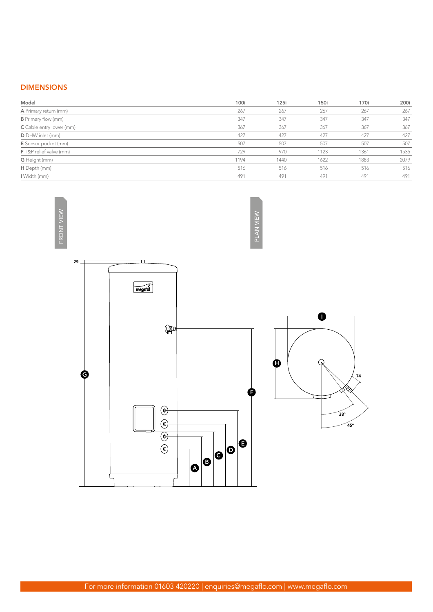# DIMENSIONS

| 100i | 125i | 150i | 170i | 200i |
|------|------|------|------|------|
| 267  | 267  | 267  | 267  | 267  |
| 347  | 347  | 347  | 347  | 347  |
| 367  | 367  | 367  | 367  | 367  |
| 427  | 427  | 427  | 427  | 427  |
| 507  | 507  | 507  | 507  | 507  |
| 729  | 970  | 1123 | 1361 | 1535 |
| 1194 | 1440 | 1622 | 1883 | 2079 |
| 516  | 516  | 516  | 516  | 516  |
| 491  | 491  | 491  | 491  | 491  |
|      |      |      |      |      |